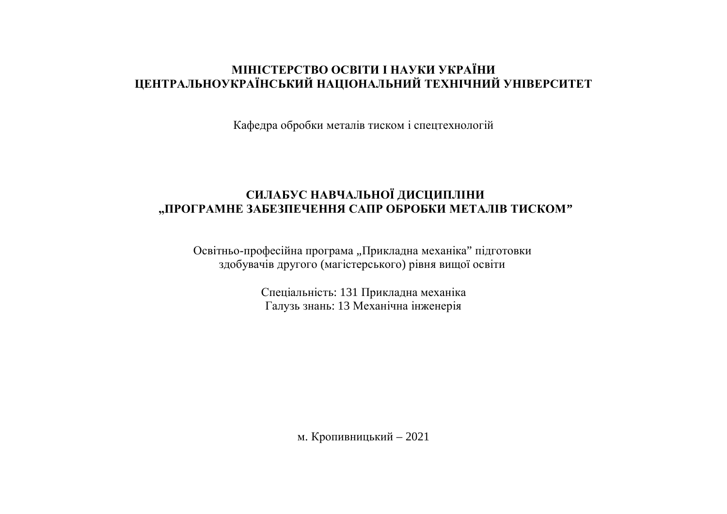# **МІНІСТЕРСТВО ОСВІТИ І НАУКИ УКРАЇНИ ШЕНТРАЛЬНОУКРАЇНСЬКИЙ НАЦІОНАЛЬНИЙ ТЕХНІЧНИЙ УНІВЕРСИТЕТ**

Кафедра обробки металів тиском і спецтехнологій

# СИЛАБУС НАВЧАЛЬНОЇ ДИСЦИПЛІНИ "ПРОГРАМНЕ ЗАБЕЗПЕЧЕННЯ САПР ОБРОБКИ МЕТАЛІВ ТИСКОМ"

Освітньо-професійна програма "Прикладна механіка" підготовки здобувачів другого (магістерського) рівня вищої освіти

> Спеціальність: 131 Прикладна механіка Галузь знань: 13 Механічна інженерія

> > м. Кропивницький – 2021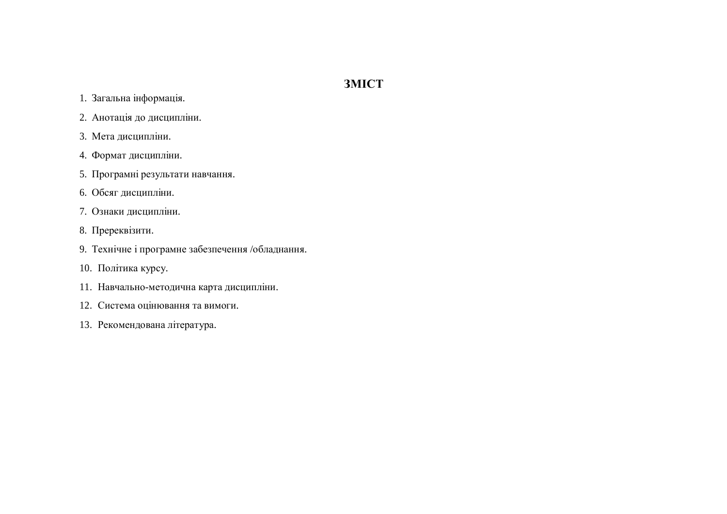# **3MICT**

- 1. Загальна інформація.
- 2. Анотація до дисципліни.
- 3. Мета дисципліни.
- 4. Формат дисципліни.
- 5. Програмні результати навчання.
- 6. Обсяг дисципліни.
- 7. Ознаки дисципліни.
- 8. Пререквізити.
- 9. Технічне і програмне забезпечення /обладнання.
- 10. Політика курсу.
- 11. Навчально-методична карта дисципліни.
- 12. Система оцінювання та вимоги.
- 13. Рекомендована література.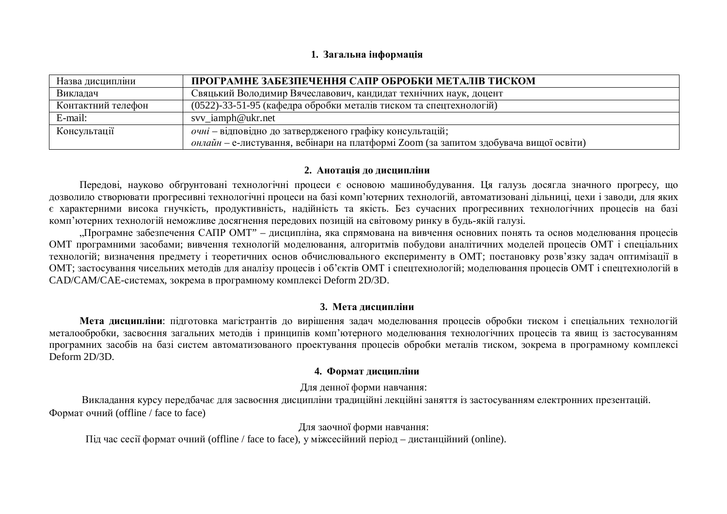#### 1. Загальна інформація

| Назва дисципліни   | ПРОГРАМНЕ ЗАБЕЗПЕЧЕННЯ САПР ОБРОБКИ МЕТАЛІВ ТИСКОМ                                            |
|--------------------|-----------------------------------------------------------------------------------------------|
| Викладач           | Свяцький Володимир Вячеславович, кандидат технічних наук, доцент                              |
| Контактний телефон | (0522)-33-51-95 (кафедра обробки металів тиском та спецтехнологій)                            |
| E-mail:            | svy_iamph@ukr.net                                                                             |
| Консультації       | очні – відповідно до затвердженого графіку консультацій;                                      |
|                    | <i>онлайн – е-листування</i> , вебінари на платформі Zoom (за запитом здобувача вищої освіти) |

#### 2. Анотація до дисципліни

Передові, науково обґрунтовані технологічні процеси є основою машинобудування. Ця галузь досягла значного прогресу, що дозволило створювати прогресивні технологічні процеси на базі комп'ютерних технологій, автоматизовані лільниці, цехи і заволи, лля яких є характерними висока гнучкість, продуктивність, надійність та якість. Без сучасних прогресивних технологічних процесів на базі комп'ютерних технологій неможливе досягнення передових позицій на світовому ринку в будь-якій галузі.

"Програмне забезпечення САПР ОМТ" – дисципліна, яка спрямована на вивчення основних понять та основ моделювання процесів ОМТ програмними засобами; вивчення технологій моделювання, алгоритмів побудови аналітичних моделей процесів ОМТ і спеціальних технологій; визначення предмету і теоретичних основ обчислювального експерименту в ОМТ; постановку розв'язку задач оптимізації в ОМТ; застосування чисельних методів для аналізу процесів і об'єктів ОМТ і спецтехнологій; моделювання процесів ОМТ і спецтехнологій в CAD/CAM/CAE-системах, зокрема в програмному комплексі Deform 2D/3D.

### 3. Мета лиспипліни

**Мета лисципліни**: пілготовка магістрантів до вирішення задач моделювання процесів обробки тиском і спеціальних технологій металообробки, засвоєння загальних методів і принципів комп'ютерного моделювання технологічних процесів та явищ із застосуванням програмних засобів на базі систем автоматизованого проектування процесів обробки металів тиском, зокрема в програмному комплексі Deform 2D/3D.

### 4. Формат дисципліни

Для денної форми навчання:

Викладання курсу передбачає для засвоєння дисципліни традиційні лекційні заняття із застосуванням електронних презентацій. Формат очний (offline / face to face)

Для заочної форми навчання:

Під час сесії формат очний (offline / face to face), у міжсесійний період − дистанційний (online).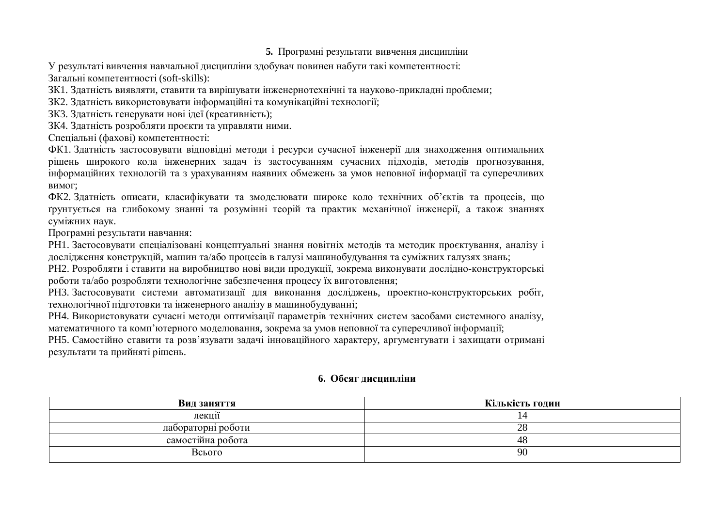## 5. Програмні результати вивчення дисципліни

У результаті вивчення навчальної дисципліни здобувач повинен набути такі компетентності: Загальні компетентності (soft-skills):

ЗК1. Златність виявляти, ставити та вирішувати інженернотехнічні та науково-приклалні проблеми;

ЗК2. Здатність використовувати інформаційні та комунікаційні технології;

ЗКЗ. Здатність генерувати нові ідеї (креативність);

ЗК4. Здатність розробляти проєкти та управляти ними.

Спеціальні (фахові) компетентності:

ФК1. Здатність застосовувати відповідні методи і ресурси сучасної інженерії для знаходження оптимальних рішень широкого кола інженерних задач із застосуванням сучасних підходів, методів прогнозування, інформаційних технологій та з урахуванням наявних обмежень за умов неповної інформації та суперечливих вимог;

ФК2. Здатність описати, класифікувати та змоделювати широке коло технічних об'єктів та процесів, що грунтується на глибокому знанні та розумінні теорій та практик механічної інженерії, а також знаннях суміжних наук.

Програмні результати навчання:

РН1. Застосовувати спеціалізовані концептуальні знання новітніх методів та методик проєктування, аналізу і дослідження конструкцій, машин та/або процесів в галузі машинобудування та суміжних галузях знань;

РН2. Розробляти і ставити на виробництво нові види продукції, зокрема виконувати дослідно-конструкторські роботи та/або розробляти технологічне забезпечення процесу їх виготовлення;

РНЗ. Застосовувати системи автоматизації для виконання досліджень, проектно-конструкторських робіт, технологічної підготовки та інженерного аналізу в машинобудуванні;

РН4. Використовувати сучасні методи оптимізації параметрів технічних систем засобами системного аналізу, математичного та комп'ютерного моделювання, зокрема за умов неповної та суперечливої інформації;

РН5. Самостійно ставити та розв'язувати задачі інноваційного характеру, аргументувати і захищати отримані результати та прийняті рішень.

# **6.** Обсяг лиснипліни

| Вид заняття        | Кількість годин |
|--------------------|-----------------|
| <br>лекції         |                 |
| лабораторні роботи | 28              |
| самостійна робота  | 48              |
| Всього             | 90              |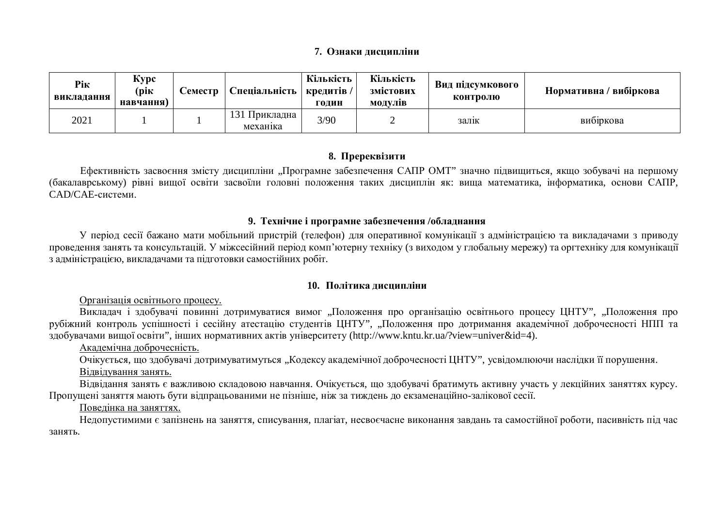### **7.** Ознаки лиспипліни

| Рік<br>викладання | Kypc<br>(рік<br>навчання) | Семестр | Спеціальність   кредитів /     | Кількість<br>голин | Кількість<br>змістових<br><b>МОЛУЛІВ</b> | Вид підсумкового<br>контролю | Нормативна / вибіркова |
|-------------------|---------------------------|---------|--------------------------------|--------------------|------------------------------------------|------------------------------|------------------------|
| 2021              |                           |         | 131<br>Прикладна  <br>механика | 3/90               |                                          | залік                        | вибіркова              |

# 8. Пререквізити

Ефективність засвоєння змісту дисципліни "Програмне забезпечення САПР ОМТ" значно підвищиться, якщо зобувачі на першому (бакалаврському) рівні вищої освіти засвоїли головні положення таких дисциплін як: вища математика, інформатика, основи САПР, CAD/CAE-системи.

# 9. Технічне і програмне забезпечення /обладнання

У період сесії бажано мати мобільний пристрій (телефон) для оперативної комунікації з адміністрацією та викладачами з приводу проведення занять та консультацій. У міжсесійний період комп'ютерну техніку (з виходом у глобальну мережу) та оргтехніку для комунікації з адміністрацією, викладачами та підготовки самостійних робіт.

# 10. Політика лиспипліни

Організація освітнього процесу.

Викладач і здобувачі повинні дотримуватися вимог "Положення про організацію освітнього процесу ШНТУ", "Положення про рубіжний контроль успішності і сесійну атестацію студентів ЦНТУ", "Положення про дотримання академічної доброчесності НПП та здобувачами вищої освіти", інших нормативних актів університету (http://www.kntu.kr.ua/?view=univer&id=4).

Академічна доброчесність.

Очікується, що здобувачі дотримуватимуться "Кодексу академічної доброчесності ЦНТУ", усвідомлюючи наслідки її порушення.

# Вілвілування занять.

Відвідання занять є важливою складовою навчання. Очікується, що здобувачі братимуть активну участь у лекційних заняттях курсу. Пропущені заняття мають бути відпрацьованими не пізніше, ніж за тиждень до екзаменаційно-залікової сесії.

# Поведінка на заняттях.

Недопустимими є запізнень на заняття, списування, плагіат, несвоєчасне виконання завдань та самостійної роботи, пасивність під час занять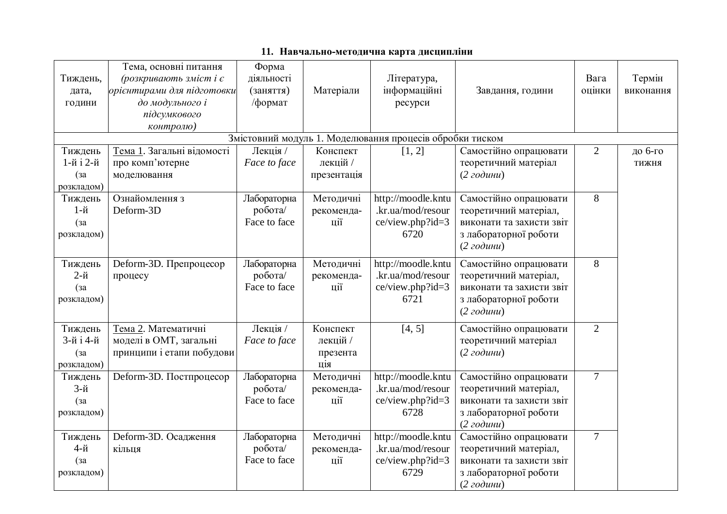| Тиждень,<br>дата,<br>години                   | Тема, основні питання<br>(розкривають зміст і є<br>орієнтирами для підготовки<br>до модульного і<br>підсумкового<br>контролю) | Форма<br>діяльності<br>(заняття)<br>/формат | Матеріали                               | Література,<br>інформаційні<br>ресурси                              | Завдання, години                                                                                                                 | Вага<br>оцінки | Термін<br>виконання |
|-----------------------------------------------|-------------------------------------------------------------------------------------------------------------------------------|---------------------------------------------|-----------------------------------------|---------------------------------------------------------------------|----------------------------------------------------------------------------------------------------------------------------------|----------------|---------------------|
|                                               |                                                                                                                               |                                             |                                         | Змістовний модуль 1. Моделювання процесів обробки тиском            |                                                                                                                                  |                |                     |
| Тиждень<br>1-й і 2-й<br>$(a^2)$<br>розкладом) | Тема 1. Загальні відомості<br>про комп'ютерне<br>моделювання                                                                  | Лекція /<br>Face to face                    | Конспект<br>лекцій /<br>презентація     | [1, 2]                                                              | Самостійно опрацювати<br>теоретичний матеріал<br>$(2\text{ }z$ одини)                                                            | $\overline{2}$ | до 6-го<br>тижня    |
| Тиждень<br>1-й<br>(3a)<br>розкладом)          | Ознайомлення з<br>Deform-3D                                                                                                   | Лабораторна<br>робота/<br>Face to face      | Методичні<br>рекоменда-<br>ції          | http://moodle.kntu<br>.kr.ua/mod/resour<br>ce/view.php?id=3<br>6720 | Самостійно опрацювати<br>теоретичний матеріал,<br>виконати та захисти звіт<br>з лабораторної роботи<br>$(2\text{ }z$ одини)      | 8              |                     |
| Тиждень<br>$2-$ й<br>(3a)<br>розкладом)       | Deform-3D. Препроцесор<br>процесу                                                                                             | Лабораторна<br>робота/<br>Face to face      | Методичні<br>рекоменда-<br>ції          | http://moodle.kntu<br>.kr.ua/mod/resour<br>ce/view.php?id=3<br>6721 | Самостійно опрацювати<br>теоретичний матеріал,<br>виконати та захисти звіт<br>з лабораторної роботи<br>$(2\text{ }z$ одини)      | 8              |                     |
| Тиждень<br>3-й і 4-й<br>(3a)<br>розкладом)    | Тема 2. Математичні<br>моделі в ОМТ, загальні<br>принципи і етапи побудови                                                    | Лекція /<br>Face to face                    | Конспект<br>лекцій /<br>презента<br>ція | [4, 5]                                                              | Самостійно опрацювати<br>теоретичний матеріал<br>$(2\text{ год }u)$                                                              | $\overline{2}$ |                     |
| Тиждень<br>$3-й$<br>$(a^2)$<br>розкладом)     | Deform-3D. Постпроцесор                                                                                                       | Лабораторна<br>робота/<br>Face to face      | Методичні<br>рекоменда-<br>ції          | http://moodle.kntu<br>.kr.ua/mod/resour<br>ce/view.php?id=3<br>6728 | Самостійно опрацювати<br>теоретичний матеріал,<br>виконати та захисти звіт<br>з лабораторної роботи<br>$(2zod$ ини)              | $\overline{7}$ |                     |
| Тиждень<br>4-й<br>(3a)<br>розкладом)          | Deform-3D. Осадження<br>кільця                                                                                                | Лабораторна<br>робота/<br>Face to face      | Методичні<br>рекоменда-<br>ції          | http://moodle.kntu<br>.kr.ua/mod/resour<br>ce/view.php?id=3<br>6729 | Самостійно опрацювати<br>теоретичний матеріал,<br>виконати та захисти звіт<br>з лабораторної роботи<br>$(2\text{ }z$ odu $\nu$ u | $\overline{7}$ |                     |

# 11. Навчально-методична карта дисципліни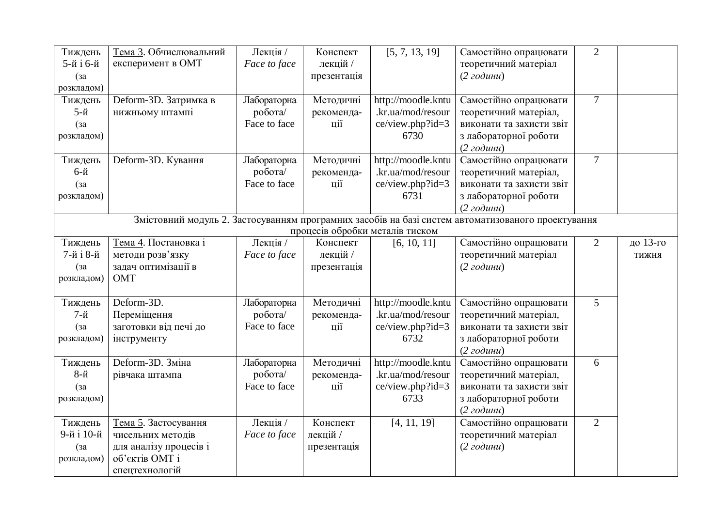| Тиждень                                                                                            | Тема 3. Обчислювальний | Лекція /     | Конспект    | [5, 7, 13, 19]                  | Самостійно опрацювати    | $\overline{2}$ |              |
|----------------------------------------------------------------------------------------------------|------------------------|--------------|-------------|---------------------------------|--------------------------|----------------|--------------|
| 5-й і 6-й                                                                                          | експеримент в ОМТ      | Face to face | лекцій /    |                                 | теоретичний матеріал     |                |              |
| (3a)                                                                                               |                        |              | презентація |                                 | $(2\text{ }z$ одини)     |                |              |
| розкладом)                                                                                         |                        |              |             |                                 |                          |                |              |
| Тиждень                                                                                            | Deform-3D. Затримка в  | Лабораторна  | Методичні   | http://moodle.kntu              | Самостійно опрацювати    | $\overline{7}$ |              |
| $5-й$                                                                                              | нижньому штампі        | робота/      | рекоменда-  | .kr.ua/mod/resour               | теоретичний матеріал,    |                |              |
| $(a^2)$                                                                                            |                        | Face to face | ції         | ce/view.php?id=3                | виконати та захисти звіт |                |              |
| розкладом)                                                                                         |                        |              |             | 6730                            | з лабораторної роботи    |                |              |
|                                                                                                    |                        |              |             |                                 | $(2\text{ }z$ одини)     |                |              |
| Тиждень                                                                                            | Deform-3D. Кування     | Лабораторна  | Методичні   | http://moodle.kntu              | Самостійно опрацювати    | $\overline{7}$ |              |
| 6-й                                                                                                |                        | робота/      | рекоменда-  | .kr.ua/mod/resour               | теоретичний матеріал,    |                |              |
| (3a)                                                                                               |                        | Face to face | ції         | ce/view.php?id=3                | виконати та захисти звіт |                |              |
| розкладом)                                                                                         |                        |              |             | 6731                            | з лабораторної роботи    |                |              |
|                                                                                                    |                        |              |             |                                 | $(2zod$ ини)             |                |              |
| Змістовний модуль 2. Застосуванням програмних засобів на базі систем автоматизованого проектування |                        |              |             |                                 |                          |                |              |
|                                                                                                    |                        |              |             | процесів обробки металів тиском |                          |                |              |
| Тиждень                                                                                            | Тема 4. Постановка і   | Лекція /     | Конспект    | [6, 10, 11]                     | Самостійно опрацювати    | $\overline{2}$ | до 13-го     |
| 7-й і 8-й                                                                                          | методи розв'язку       | Face to face | лекцій /    |                                 | теоретичний матеріал     |                | <b>ТИЖНЯ</b> |
| (3a)                                                                                               | задач оптимізації в    |              | презентація |                                 | $(2\text{ }z$ одини)     |                |              |
| розкладом)                                                                                         | <b>OMT</b>             |              |             |                                 |                          |                |              |
|                                                                                                    |                        |              |             |                                 |                          |                |              |
| Тиждень                                                                                            | Deform-3D.             | Лабораторна  | Методичні   | http://moodle.kntu              | Самостійно опрацювати    | 5              |              |
| $7-$ й                                                                                             | Переміщення            | робота/      | рекоменда-  | .kr.ua/mod/resour               | теоретичний матеріал,    |                |              |
| (3a)                                                                                               | заготовки від печі до  | Face to face | ції         | ce/view.php?id=3                | виконати та захисти звіт |                |              |
| розкладом)                                                                                         | інструменту            |              |             | 6732                            | з лабораторної роботи    |                |              |
|                                                                                                    |                        |              |             |                                 | $(2zod$ ини)             |                |              |
| Тиждень                                                                                            | Deform-3D. Зміна       | Лабораторна  | Методичні   | http://moodle.kntu              | Самостійно опрацювати    | 6              |              |
| $8-$ й                                                                                             | рівчака штампа         | робота/      | рекоменда-  | .kr.ua/mod/resour               | теоретичний матеріал,    |                |              |
| (3a)                                                                                               |                        | Face to face | ції         | ce/view.php?id=3                | виконати та захисти звіт |                |              |
| розкладом)                                                                                         |                        |              |             | 6733                            | з лабораторної роботи    |                |              |
|                                                                                                    |                        |              |             |                                 | $(2zod$ ини)             |                |              |
| Тиждень                                                                                            | Тема 5. Застосування   | Лекція /     | Конспект    | [4, 11, 19]                     | Самостійно опрацювати    | $\overline{2}$ |              |
| 9-й і 10-й                                                                                         | чисельних методів      | Face to face | лекцій /    |                                 | теоретичний матеріал     |                |              |
| (3a)                                                                                               | для аналізу процесів і |              | презентація |                                 | $(2\text{ }z$ одини)     |                |              |
| розкладом)                                                                                         | об'єктів ОМТ і         |              |             |                                 |                          |                |              |
|                                                                                                    | спецтехнологій         |              |             |                                 |                          |                |              |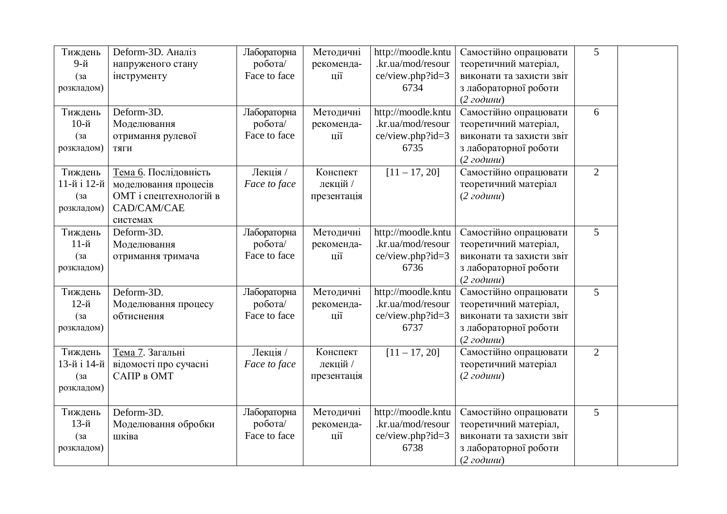| Тиждень            | Deform-3D. Аналіз      | Лабораторна            | Методичні         | http://moodle.kntu                      | Самостійно опрацювати                             | 5              |  |
|--------------------|------------------------|------------------------|-------------------|-----------------------------------------|---------------------------------------------------|----------------|--|
| 9-й                | напруженого стану      | робота/                | рекоменда-        | .kr.ua/mod/resour                       | теоретичний матеріал,                             |                |  |
| (3a)               | інструменту            | Face to face           | ції               | ce/view.php?id=3                        | виконати та захисти звіт                          |                |  |
| розкладом)         |                        |                        |                   | 6734                                    | з лабораторної роботи                             |                |  |
|                    | Deform-3D.             |                        |                   |                                         | $(2\text{ }z$ одини)                              | 6              |  |
| Тиждень<br>10-й    | Моделювання            | Лабораторна<br>робота/ | Методичні         | http://moodle.kntu<br>.kr.ua/mod/resour | Самостійно опрацювати                             |                |  |
|                    | отримання рулевої      | Face to face           | рекоменда-<br>ції | ce/view.php?id=3                        | теоретичний матеріал,<br>виконати та захисти звіт |                |  |
| (3a)<br>розкладом) | ТЯГИ                   |                        |                   | 6735                                    | з лабораторної роботи                             |                |  |
|                    |                        |                        |                   |                                         | (2zod <sub>u</sub> )                              |                |  |
| Тиждень            | Тема 6. Послідовність  | Лекція /               | Конспект          | $[11 - 17, 20]$                         | Самостійно опрацювати                             | $\overline{2}$ |  |
| 11-й і 12-й        | моделювання процесів   | Face to face           | лекцій /          |                                         | теоретичний матеріал                              |                |  |
| (3a)               | ОМТ і спецтехнологій в |                        | презентація       |                                         | $(2\text{ год }u)$                                |                |  |
| розкладом)         | CAD/CAM/CAE            |                        |                   |                                         |                                                   |                |  |
|                    | системах               |                        |                   |                                         |                                                   |                |  |
| Тиждень            | Deform-3D.             | Лабораторна            | Методичні         | http://moodle.kntu                      | Самостійно опрацювати                             | 5              |  |
| $11-$ й            | Моделювання            | робота/                | рекоменда-        | .kr.ua/mod/resour                       | теоретичний матеріал,                             |                |  |
| (3a)               | отримання тримача      | Face to face           | ції               | ce/view.php?id=3                        | виконати та захисти звіт                          |                |  |
| розкладом)         |                        |                        |                   | 6736                                    | з лабораторної роботи                             |                |  |
|                    |                        |                        |                   |                                         | $(2\text{ год }u)$                                |                |  |
| Тиждень            | Deform-3D.             | Лабораторна            | Методичні         | http://moodle.kntu                      | Самостійно опрацювати                             | 5              |  |
| 12-й               | Моделювання процесу    | робота/                | рекоменда-        | .kr.ua/mod/resour                       | теоретичний матеріал,                             |                |  |
| (3a)               | обтиснення             | Face to face           | ції               | ce/view.php?id=3                        | виконати та захисти звіт                          |                |  |
| розкладом)         |                        |                        |                   | 6737                                    | з лабораторної роботи                             |                |  |
| Тиждень            | Тема 7. Загальні       | Лекція /               | Конспект          | $[11 - 17, 20]$                         | $(2zod$ ини)<br>Самостійно опрацювати             | $\overline{2}$ |  |
| 13-й і 14-й        | відомості про сучасні  | Face to face           | лекцій /          |                                         | теоретичний матеріал                              |                |  |
| (3a)               | САПР в ОМТ             |                        | презентація       |                                         | (2zod <sub>u</sub> )                              |                |  |
| розкладом)         |                        |                        |                   |                                         |                                                   |                |  |
|                    |                        |                        |                   |                                         |                                                   |                |  |
| Тиждень            | Deform-3D.             | Лабораторна            | Методичні         | http://moodle.kntu                      | Самостійно опрацювати                             | 5              |  |
| 13-й               | Моделювання обробки    | робота/                | рекоменда-        | .kr.ua/mod/resour                       | теоретичний матеріал,                             |                |  |
| (3a)               | шківа                  | Face to face           | ції               | ce/view.php?id=3                        | виконати та захисти звіт                          |                |  |
| розкладом)         |                        |                        |                   | 6738                                    | з лабораторної роботи                             |                |  |
|                    |                        |                        |                   |                                         | $(2\text{ }z\text{ o}\partial u\mu u)$            |                |  |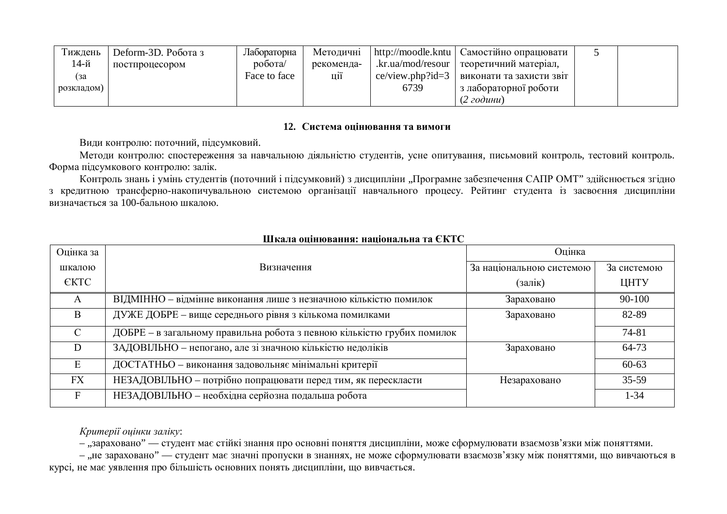| Гижлень    | Deform-3D. Робота з | Лабораторна              | Методичні  | http://moodle.kntu    | Самостійно опрацювати    |  |
|------------|---------------------|--------------------------|------------|-----------------------|--------------------------|--|
| 14-й       | постпроцесором      | $po6$ <sub>O</sub> $Ta/$ | рекоменда- | .kr.ua/mod/resour     | теоретичний матеріал,    |  |
| l 3a       |                     | Face to face             | Ц11        | $ce/view.php$ : $d=3$ | виконати та захисти звіт |  |
| розкладом) |                     |                          |            | 6739                  | з лабораторної роботи    |  |
|            |                     |                          |            |                       | (2 години)               |  |

## 12. Система ошінювання та вимоги

Види контролю: поточний, підсумковий.

Методи контролю: спостереження за навчальною діяльністю студентів, усне опитування, письмовий контроль, тестовий контроль. Форма підсумкового контролю: залік.

Контроль знань і умінь студентів (поточний і підсумковий) з дисципліни "Програмне забезпечення САПР ОМТ" здійснюється згідно з кредитною трансферно-накопичувальною системою організації навчального процесу. Рейтинг студента із засвоєння дисципліни визначається за 100-бальною шкалою.

| Оцінка за     |                                                                         | Оцінка                   |             |  |  |  |
|---------------|-------------------------------------------------------------------------|--------------------------|-------------|--|--|--|
| шкалою        | Визначення                                                              | За національною системою | За системою |  |  |  |
| <b>EKTC</b>   |                                                                         | (залік)                  | ЦНТУ        |  |  |  |
| A             | ВІДМІННО - відмінне виконання лише з незначною кількістю помилок        | Зараховано               | 90-100      |  |  |  |
| B             | ДУЖЕ ДОБРЕ - вище середнього рівня з кількома помилками                 | Зараховано               | 82-89       |  |  |  |
| $\mathcal{C}$ | ДОБРЕ - в загальному правильна робота з певною кількістю грубих помилок |                          | 74-81       |  |  |  |
| D             | ЗАДОВІЛЬНО - непогано, але зі значною кількістю недоліків               | Зараховано               | 64-73       |  |  |  |
| E             | ДОСТАТНЬО - виконання задовольняє мінімальні критерії                   |                          | $60 - 63$   |  |  |  |
| FX            | НЕЗАДОВІЛЬНО - потрібно попрацювати перед тим, як перескласти           | Незараховано             | $35 - 59$   |  |  |  |
|               | НЕЗАДОВІЛЬНО - необхідна серйозна подальша робота                       |                          | $1 - 34$    |  |  |  |

# $\overline{H}$ *W*  $\overline{H}$  *N*  $\overline{H}$  *n*  $\overline{H}$  *n*  $\overline{H}$  *n*  $\overline{H}$  *n*  $\overline{H}$  *n*  $\overline{H}$  *n*  $\overline{H}$  *n*  $\overline{H}$  *n*  $\overline{H}$  *n*  $\overline{H}$  *n*  $\overline{H}$  *n*  $\overline{H}$  *n*  $\overline{H}$  *n*  $\overline{H}$  *n*  $\$

Критерії ошнки заліку:

– "зараховано" — студент має стійкі знання про основні поняття дисципліни, може сформулювати взаємозв'язки між поняттями.

– "не зараховано" — студент має значні пропуски в знаннях, не може сформулювати взаємозв'язку між поняттями, що вивчаються в курсі, не має уявлення про більшість основних понять дисципліни, що вивчається.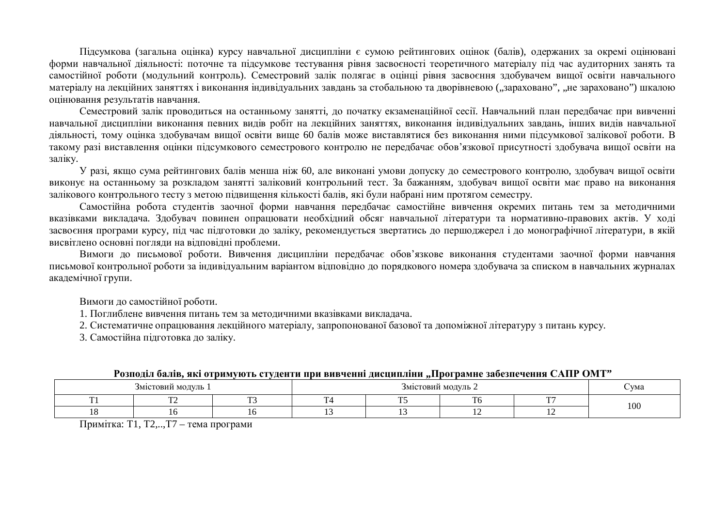Підсумкова (загальна оцінка) курсу навчальної дисципліни є сумою рейтингових оцінок (балів), одержаних за окремі оцінювані форми навчальної діяльності: поточне та підсумкове тестування рівня засвоєності теоретичного матеріалу під час аудиторних занять та самостійної роботи (модульний контроль). Семестровий залік полягає в оцінці рівня засвоєння здобувачем вищої освіти навчального матеріалу на лекційних заняттях і виконання індивідуальних завдань за стобальною та дворівневою ("зараховано", "не зараховано") шкалою оцінювання результатів навчання.

Семестровий залік проводиться на останньому занятті, до початку екзаменаційної сесії. Навчальний план передбачає при вивченні навчальної дисципліни виконання певних видів робіт на лекційних заняттях, виконання індивідуальних завдань, інших видів навчальної діяльності, тому оцінка здобувачам вищої освіти вище 60 балів може виставлятися без виконання ними підсумкової залікової роботи. В такому разі виставлення оцінки підсумкового семестрового контролю не передбачає обов'язкової присутності здобувача вищої освіти на заліку.

У разі, якщо сума рейтингових балів менша ніж 60, але виконані умови допуску до семестрового контролю, здобувач вищої освіти виконує на останньому за розкладом занятті заліковий контрольний тест. За бажанням, здобувач вищої освіти має право на виконання залікового контрольного тесту з метою підвищення кількості балів, які були набрані ним протягом семестру.

Самостійна робота студентів заочної форми навчання передбачає самостійне вивчення окремих питань тем за методичними вказівками викладача. Здобувач повинен опрацювати необхідний обсяг навчальної літератури та нормативно-правових актів. У ході засвоєння програми курсу, під час підготовки до заліку, рекомендується звертатись до першоджерел і до монографічної літератури, в якій висвітлено основні погляди на відповідні проблеми.

Вимоги до письмової роботи. Вивчення дисципліни передбачає обов'язкове виконання студентами заочної форми навчання письмової контрольної роботи за індивідуальним варіантом відповідно до порядкового номера здобувача за списком в навчальних журналах академічної групи.

Вимоги до самостійної роботи.

1. Поглиблене вивчення питань тем за метоличними вказівками виклалача.

2. Систематичне опрацювання лекційного матеріалу, запропонованої базової та допоміжної літературу з питань курсу.

3. Самостійна підготовка до заліку.

| т оэнодыг оално, якт өтримүютгэ стүдсити нри оно тенні дисцинынни ,,нрограмнс заосэнс гення слунт томт г |  |  |     |        |     |     |  |  |  |
|----------------------------------------------------------------------------------------------------------|--|--|-----|--------|-----|-----|--|--|--|
| Змістовий модуль 1                                                                                       |  |  | VMa |        |     |     |  |  |  |
|                                                                                                          |  |  |     | $\sim$ | --- |     |  |  |  |
|                                                                                                          |  |  |     |        |     | 100 |  |  |  |

#### <u>Розполід балів, які отримують студенти при вивченні лиспипліни. Програмне забезпечення САПР ОМТ"</u>

Примітка: Т1, Т2,.., Т7 – тема програми